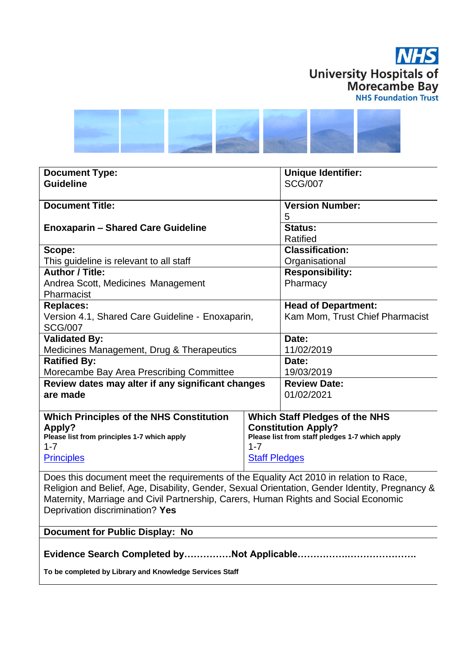



| <b>Document Type:</b>                             |         | <b>Unique Identifier:</b>                      |  |
|---------------------------------------------------|---------|------------------------------------------------|--|
| <b>Guideline</b>                                  |         | <b>SCG/007</b>                                 |  |
|                                                   |         |                                                |  |
| <b>Document Title:</b>                            |         | <b>Version Number:</b>                         |  |
|                                                   |         | 5                                              |  |
| <b>Enoxaparin – Shared Care Guideline</b>         |         | Status:                                        |  |
|                                                   |         | Ratified                                       |  |
| Scope:                                            |         | <b>Classification:</b>                         |  |
| This guideline is relevant to all staff           |         | Organisational                                 |  |
| <b>Author / Title:</b>                            |         | <b>Responsibility:</b>                         |  |
| Andrea Scott, Medicines Management                |         | Pharmacy                                       |  |
| Pharmacist                                        |         |                                                |  |
| <b>Replaces:</b>                                  |         | <b>Head of Department:</b>                     |  |
| Version 4.1, Shared Care Guideline - Enoxaparin,  |         | Kam Mom, Trust Chief Pharmacist                |  |
| <b>SCG/007</b>                                    |         |                                                |  |
| <b>Validated By:</b>                              |         | Date:                                          |  |
| Medicines Management, Drug & Therapeutics         |         | 11/02/2019                                     |  |
| <b>Ratified By:</b>                               |         | Date:                                          |  |
| Morecambe Bay Area Prescribing Committee          |         | 19/03/2019                                     |  |
| Review dates may alter if any significant changes |         | <b>Review Date:</b>                            |  |
| are made                                          |         | 01/02/2021                                     |  |
|                                                   |         |                                                |  |
| <b>Which Principles of the NHS Constitution</b>   |         | <b>Which Staff Pledges of the NHS</b>          |  |
| Apply?                                            |         | <b>Constitution Apply?</b>                     |  |
| Please list from principles 1-7 which apply       |         | Please list from staff pledges 1-7 which apply |  |
| $1 - 7$                                           | $1 - 7$ |                                                |  |
| <b>Principles</b><br><b>Staff Pledges</b>         |         |                                                |  |
|                                                   |         |                                                |  |

Does this document meet the requirements of the Equality Act 2010 in relation to Race, Religion and Belief, Age, Disability, Gender, Sexual Orientation, Gender Identity, Pregnancy & Maternity, Marriage and Civil Partnership, Carers, Human Rights and Social Economic Deprivation discrimination? **Yes**

**Document for Public Display: No**

**Evidence Search Completed by……………Not Applicable…………….………………….**

**To be completed by Library and Knowledge Services Staff**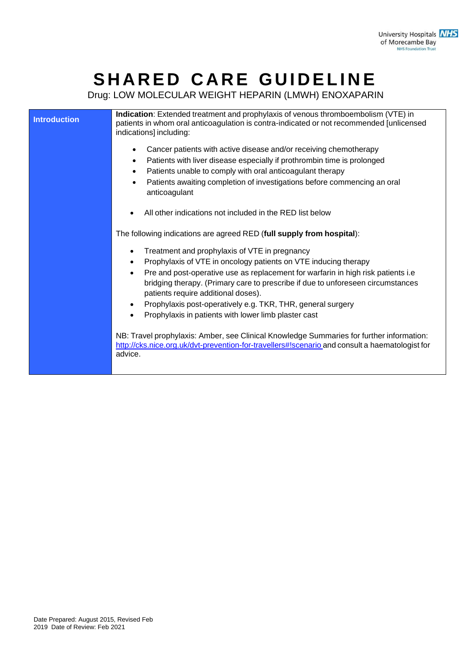# **S H A R E D C A RE GU I D EL I N E**

Drug: LOW MOLECULAR WEIGHT HEPARIN (LMWH) ENOXAPARIN

| <b>Introduction</b> | Indication: Extended treatment and prophylaxis of venous thromboembolism (VTE) in<br>patients in whom oral anticoagulation is contra-indicated or not recommended [unlicensed<br>indications] including:                                                                                                                                                                                                                                                                             |
|---------------------|--------------------------------------------------------------------------------------------------------------------------------------------------------------------------------------------------------------------------------------------------------------------------------------------------------------------------------------------------------------------------------------------------------------------------------------------------------------------------------------|
|                     | Cancer patients with active disease and/or receiving chemotherapy<br>$\bullet$<br>Patients with liver disease especially if prothrombin time is prolonged<br>$\bullet$<br>Patients unable to comply with oral anticoagulant therapy<br>$\bullet$<br>Patients awaiting completion of investigations before commencing an oral<br>$\bullet$<br>anticoagulant                                                                                                                           |
|                     | All other indications not included in the RED list below                                                                                                                                                                                                                                                                                                                                                                                                                             |
|                     | The following indications are agreed RED (full supply from hospital):                                                                                                                                                                                                                                                                                                                                                                                                                |
|                     | Treatment and prophylaxis of VTE in pregnancy<br>٠<br>Prophylaxis of VTE in oncology patients on VTE inducing therapy<br>Pre and post-operative use as replacement for warfarin in high risk patients i.e<br>$\bullet$<br>bridging therapy. (Primary care to prescribe if due to unforeseen circumstances<br>patients require additional doses).<br>Prophylaxis post-operatively e.g. TKR, THR, general surgery<br>$\bullet$<br>Prophylaxis in patients with lower limb plaster cast |
|                     | NB: Travel prophylaxis: Amber, see Clinical Knowledge Summaries for further information:<br>http://cks.nice.org.uk/dvt-prevention-for-travellers#!scenario and consult a haematologist for<br>advice.                                                                                                                                                                                                                                                                                |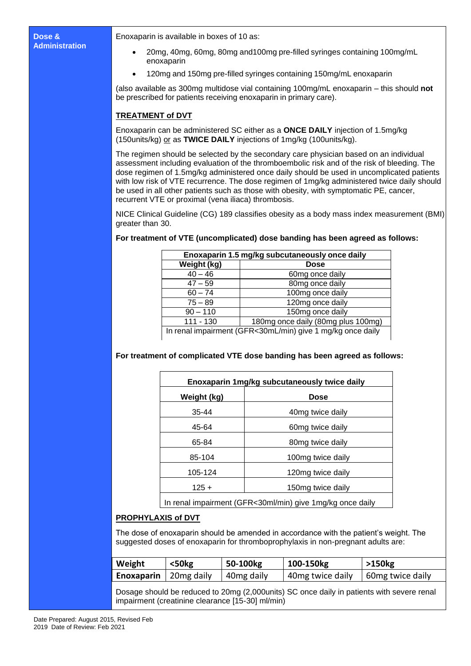Enoxaparin is available in boxes of 10 as:

- 20mg, 40mg, 60mg, 80mg and100mg pre-filled syringes containing 100mg/mL enoxaparin
- 120mg and 150mg pre-filled syringes containing 150mg/mL enoxaparin

(also available as 300mg multidose vial containing 100mg/mL enoxaparin – this should **not** be prescribed for patients receiving enoxaparin in primary care).

### **TREATMENT of DVT**

Enoxaparin can be administered SC either as a **ONCE DAILY** injection of 1.5mg/kg (150units/kg) or as **TWICE DAILY** injections of 1mg/kg (100units/kg).

The regimen should be selected by the secondary care physician based on an individual assessment including evaluation of the thromboembolic risk and of the risk of bleeding. The dose regimen of 1.5mg/kg administered once daily should be used in uncomplicated patients with low risk of VTE recurrence. The dose regimen of 1mg/kg administered twice daily should be used in all other patients such as those with obesity, with symptomatic PE, cancer, recurrent VTE or proximal (vena iliaca) thrombosis.

NICE Clinical Guideline (CG) 189 classifies obesity as a body mass index measurement (BMI) greater than 30.

| Enoxaparin 1.5 mg/kg subcutaneously once daily             |                                    |
|------------------------------------------------------------|------------------------------------|
| Weight (kg)                                                | <b>Dose</b>                        |
| $40 - 46$                                                  | 60mg once daily                    |
| $47 - 59$                                                  | 80mg once daily                    |
| $60 - 74$                                                  | 100mg once daily                   |
| $75 - 89$                                                  | 120mg once daily                   |
| $90 - 110$                                                 | 150mg once daily                   |
| $111 - 130$                                                | 180mg once daily (80mg plus 100mg) |
| In renal impairment (GFR<30mL/min) give 1 mg/kg once daily |                                    |

## **For treatment of VTE (uncomplicated) dose banding has been agreed as follows:**

**For treatment of complicated VTE dose banding has been agreed as follows:**

| Enoxaparin 1mg/kg subcutaneously twice daily              |                              |
|-----------------------------------------------------------|------------------------------|
| Weight (kg)                                               | <b>Dose</b>                  |
| $35 - 44$                                                 | 40mg twice daily             |
| 45-64                                                     | 60mg twice daily             |
| 65-84                                                     | 80 <sub>mg</sub> twice daily |
| 85-104                                                    | 100mg twice daily            |
| 105-124                                                   | 120mg twice daily            |
| $125 +$                                                   | 150mg twice daily            |
| In renal impairment (GFR<30ml/min) give 1mg/kg once daily |                              |

#### **PROPHYLAXIS of DVT**

The dose of enoxaparin should be amended in accordance with the patient's weight. The suggested doses of enoxaparin for thromboprophylaxis in non-pregnant adults are:

| Weight                         | $50kg$ | 50-100kg               | 100-150kg        | $>150$ kg        |
|--------------------------------|--------|------------------------|------------------|------------------|
| <b>Enoxaparin</b>   20mg daily |        | 40 <sub>mg</sub> daily | 40mg twice daily | 60mg twice daily |

Dosage should be reduced to 20mg (2,000units) SC once daily in patients with severe renal impairment (creatinine clearance [15-30] ml/min)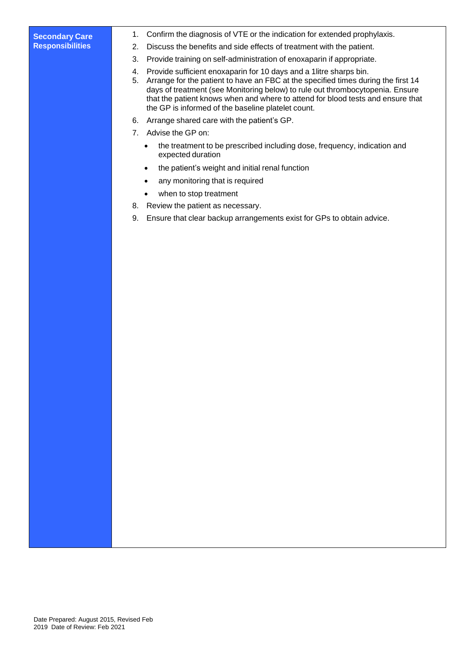#### **Secondary Care Responsibilities**

- 1. Confirm the diagnosis of VTE or the indication for extended prophylaxis.
- 2. Discuss the benefits and side effects of treatment with the patient.
- 3. Provide training on self-administration of enoxaparin if appropriate.
- 4. Provide sufficient enoxaparin for 10 days and a 1litre sharps bin.
- 5. Arrange for the patient to have an FBC at the specified times during the first 14 days of treatment (see Monitoring below) to rule out thrombocytopenia. Ensure that the patient knows when and where to attend for blood tests and ensure that the GP is informed of the baseline platelet count.
- 6. Arrange shared care with the patient's GP.
- 7. Advise the GP on:
	- the treatment to be prescribed including dose, frequency, indication and expected duration
	- the patient's weight and initial renal function
	- any monitoring that is required
	- when to stop treatment
- 8. Review the patient as necessary.
- 9. Ensure that clear backup arrangements exist for GPs to obtain advice.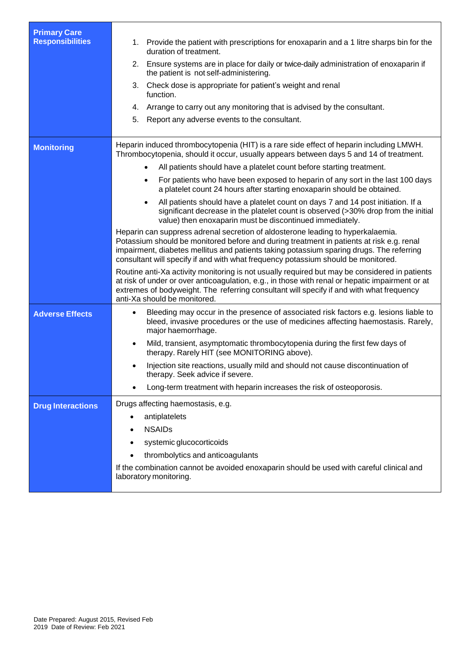| <b>Primary Care</b><br><b>Responsibilities</b> | 1. Provide the patient with prescriptions for enoxaparin and a 1 litre sharps bin for the<br>duration of treatment.<br>2. Ensure systems are in place for daily or twice-daily administration of enoxaparin if<br>the patient is not self-administering.<br>3. Check dose is appropriate for patient's weight and renal<br>function.<br>4. Arrange to carry out any monitoring that is advised by the consultant.<br>5.<br>Report any adverse events to the consultant. |
|------------------------------------------------|-------------------------------------------------------------------------------------------------------------------------------------------------------------------------------------------------------------------------------------------------------------------------------------------------------------------------------------------------------------------------------------------------------------------------------------------------------------------------|
| <b>Monitoring</b>                              | Heparin induced thrombocytopenia (HIT) is a rare side effect of heparin including LMWH.<br>Thrombocytopenia, should it occur, usually appears between days 5 and 14 of treatment.                                                                                                                                                                                                                                                                                       |
|                                                | All patients should have a platelet count before starting treatment.                                                                                                                                                                                                                                                                                                                                                                                                    |
|                                                | For patients who have been exposed to heparin of any sort in the last 100 days<br>a platelet count 24 hours after starting enoxaparin should be obtained.                                                                                                                                                                                                                                                                                                               |
|                                                | All patients should have a platelet count on days 7 and 14 post initiation. If a<br>$\bullet$<br>significant decrease in the platelet count is observed (>30% drop from the initial<br>value) then enoxaparin must be discontinued immediately.                                                                                                                                                                                                                         |
|                                                | Heparin can suppress adrenal secretion of aldosterone leading to hyperkalaemia.<br>Potassium should be monitored before and during treatment in patients at risk e.g. renal<br>impairment, diabetes mellitus and patients taking potassium sparing drugs. The referring<br>consultant will specify if and with what frequency potassium should be monitored.                                                                                                            |
|                                                | Routine anti-Xa activity monitoring is not usually required but may be considered in patients<br>at risk of under or over anticoagulation, e.g., in those with renal or hepatic impairment or at<br>extremes of bodyweight. The referring consultant will specify if and with what frequency<br>anti-Xa should be monitored.                                                                                                                                            |
| <b>Adverse Effects</b>                         | Bleeding may occur in the presence of associated risk factors e.g. lesions liable to<br>$\bullet$<br>bleed, invasive procedures or the use of medicines affecting haemostasis. Rarely,<br>major haemorrhage.                                                                                                                                                                                                                                                            |
|                                                | Mild, transient, asymptomatic thrombocytopenia during the first few days of<br>$\bullet$<br>therapy. Rarely HIT (see MONITORING above).                                                                                                                                                                                                                                                                                                                                 |
|                                                | Injection site reactions, usually mild and should not cause discontinuation of<br>therapy. Seek advice if severe.                                                                                                                                                                                                                                                                                                                                                       |
|                                                | Long-term treatment with heparin increases the risk of osteoporosis.                                                                                                                                                                                                                                                                                                                                                                                                    |
| <b>Drug Interactions</b>                       | Drugs affecting haemostasis, e.g.                                                                                                                                                                                                                                                                                                                                                                                                                                       |
|                                                | antiplatelets<br>٠                                                                                                                                                                                                                                                                                                                                                                                                                                                      |
|                                                | <b>NSAIDs</b>                                                                                                                                                                                                                                                                                                                                                                                                                                                           |
|                                                | systemic glucocorticoids                                                                                                                                                                                                                                                                                                                                                                                                                                                |
|                                                | thrombolytics and anticoagulants                                                                                                                                                                                                                                                                                                                                                                                                                                        |
|                                                | If the combination cannot be avoided enoxaparin should be used with careful clinical and<br>laboratory monitoring.                                                                                                                                                                                                                                                                                                                                                      |